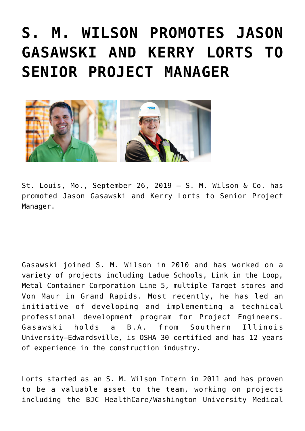## **[S. M. WILSON PROMOTES JASON](https://smwilson.com/press-releases/s-m-wilson-promotes-jason-gasawski-and-kerry-lorts-to-senior-project-manager) [GASAWSKI AND KERRY LORTS TO](https://smwilson.com/press-releases/s-m-wilson-promotes-jason-gasawski-and-kerry-lorts-to-senior-project-manager) [SENIOR PROJECT MANAGER](https://smwilson.com/press-releases/s-m-wilson-promotes-jason-gasawski-and-kerry-lorts-to-senior-project-manager)**



St. Louis, Mo., September 26, 2019 – S. M. Wilson & Co. has promoted Jason Gasawski and Kerry Lorts to Senior Project Manager.

Gasawski joined S. M. Wilson in 2010 and has worked on a variety of projects including Ladue Schools, Link in the Loop, Metal Container Corporation Line 5, multiple Target stores and Von Maur in Grand Rapids. Most recently, he has led an initiative of developing and implementing a technical professional development program for Project Engineers. Gasawski holds a B.A. from Southern Illinois University–Edwardsville, is OSHA 30 certified and has 12 years of experience in the construction industry.

Lorts started as an S. M. Wilson Intern in 2011 and has proven to be a valuable asset to the team, working on projects including the BJC HealthCare/Washington University Medical